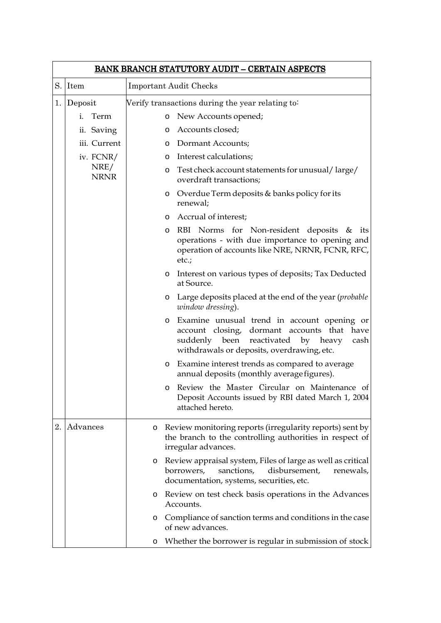|    | <b>BANK BRANCH STATUTORY AUDIT - CERTAIN ASPECTS</b> |                                                                                                                                                                                     |           |  |  |  |
|----|------------------------------------------------------|-------------------------------------------------------------------------------------------------------------------------------------------------------------------------------------|-----------|--|--|--|
|    | S. Item                                              | <b>Important Audit Checks</b>                                                                                                                                                       |           |  |  |  |
| 1. | Deposit                                              | Verify transactions during the year relating to:                                                                                                                                    |           |  |  |  |
|    | Term<br>i.                                           | New Accounts opened;<br>O                                                                                                                                                           |           |  |  |  |
|    | ii. Saving                                           | Accounts closed;<br>O                                                                                                                                                               |           |  |  |  |
|    | iii. Current                                         | Dormant Accounts;<br>$\circ$                                                                                                                                                        |           |  |  |  |
|    | iv. FCNR/                                            | Interest calculations;<br>$\circ$                                                                                                                                                   |           |  |  |  |
|    | NRE/<br><b>NRNR</b>                                  | o Test check account statements for unusual/large/<br>overdraft transactions;                                                                                                       |           |  |  |  |
|    |                                                      | o Overdue Term deposits & banks policy for its<br>renewal;                                                                                                                          |           |  |  |  |
|    |                                                      | Accrual of interest;<br>O                                                                                                                                                           |           |  |  |  |
|    |                                                      | RBI Norms for Non-resident deposits & its<br>O<br>operations - with due importance to opening and<br>operation of accounts like NRE, NRNR, FCNR, RFC,<br>$etc.$ ;                   |           |  |  |  |
|    |                                                      | o Interest on various types of deposits; Tax Deducted<br>at Source.                                                                                                                 |           |  |  |  |
|    |                                                      | Large deposits placed at the end of the year ( <i>probable</i><br>O<br>window dressing).                                                                                            |           |  |  |  |
|    |                                                      | Examine unusual trend in account opening or<br>O<br>account closing, dormant accounts that have<br>suddenly been reactivated by heavy<br>withdrawals or deposits, overdrawing, etc. | cash      |  |  |  |
|    |                                                      | o Examine interest trends as compared to average<br>annual deposits (monthly average figures).                                                                                      |           |  |  |  |
|    |                                                      | Review the Master Circular on Maintenance of<br>O<br>Deposit Accounts issued by RBI dated March 1, 2004<br>attached hereto.                                                         |           |  |  |  |
| 2. | Advances                                             | Review monitoring reports (irregularity reports) sent by<br>O<br>the branch to the controlling authorities in respect of<br>irregular advances.                                     |           |  |  |  |
|    |                                                      | Review appraisal system, Files of large as well as critical<br>O<br>borrowers,<br>sanctions,<br>disbursement,<br>documentation, systems, securities, etc.                           | renewals, |  |  |  |
|    |                                                      | Review on test check basis operations in the Advances<br>O<br>Accounts.                                                                                                             |           |  |  |  |
|    |                                                      | Compliance of sanction terms and conditions in the case<br>O<br>of new advances.                                                                                                    |           |  |  |  |
|    |                                                      | Whether the borrower is regular in submission of stock<br>O                                                                                                                         |           |  |  |  |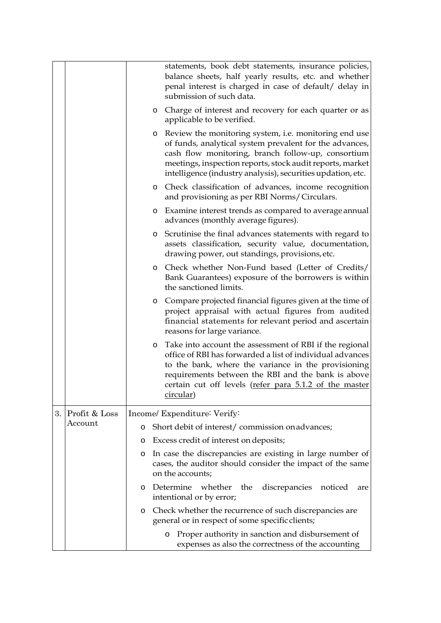|    |                                               |         |         | statements, book debt statements, insurance policies,<br>balance sheets, half yearly results, etc. and whether<br>penal interest is charged in case of default/ delay in<br>submission of such data.                                                                                                      |
|----|-----------------------------------------------|---------|---------|-----------------------------------------------------------------------------------------------------------------------------------------------------------------------------------------------------------------------------------------------------------------------------------------------------------|
|    |                                               |         | O       | Charge of interest and recovery for each quarter or as<br>applicable to be verified.                                                                                                                                                                                                                      |
|    |                                               |         | O       | Review the monitoring system, <i>i.e.</i> monitoring end use<br>of funds, analytical system prevalent for the advances,<br>cash flow monitoring, branch follow-up, consortium<br>meetings, inspection reports, stock audit reports, market<br>intelligence (industry analysis), securities updation, etc. |
|    |                                               |         | O       | Check classification of advances, income recognition<br>and provisioning as per RBI Norms/Circulars.                                                                                                                                                                                                      |
|    |                                               |         | $\circ$ | Examine interest trends as compared to average annual<br>advances (monthly average figures).                                                                                                                                                                                                              |
|    |                                               |         | O       | Scrutinise the final advances statements with regard to<br>assets classification, security value, documentation,<br>drawing power, out standings, provisions, etc.                                                                                                                                        |
|    |                                               |         | O       | Check whether Non-Fund based (Letter of Credits/<br>Bank Guarantees) exposure of the borrowers is within<br>the sanctioned limits.                                                                                                                                                                        |
|    |                                               |         | $\circ$ | Compare projected financial figures given at the time of<br>project appraisal with actual figures from audited<br>financial statements for relevant period and ascertain<br>reasons for large variance.                                                                                                   |
|    |                                               |         | O       | Take into account the assessment of RBI if the regional<br>office of RBI has forwarded a list of individual advances<br>to the bank, where the variance in the provisioning<br>requirements between the RBI and the bank is above<br>certain cut off levels (refer para 5.1.2 of the master<br>circular)  |
| 3. | Profit & Loss<br>Income/ Expenditure: Verify: |         |         |                                                                                                                                                                                                                                                                                                           |
|    | Account                                       | $\circ$ |         | Short debit of interest/commission on advances;                                                                                                                                                                                                                                                           |
|    |                                               | O       |         | Excess credit of interest on deposits;                                                                                                                                                                                                                                                                    |
|    |                                               |         |         | o In case the discrepancies are existing in large number of<br>cases, the auditor should consider the impact of the same<br>on the accounts;                                                                                                                                                              |
|    |                                               | O       |         | Determine whether the discrepancies noticed<br>are<br>intentional or by error;                                                                                                                                                                                                                            |
|    |                                               | $\circ$ |         | Check whether the recurrence of such discrepancies are<br>general or in respect of some specific clients;                                                                                                                                                                                                 |
|    |                                               |         |         | Proper authority in sanction and disbursement of<br>O<br>expenses as also the correctness of the accounting                                                                                                                                                                                               |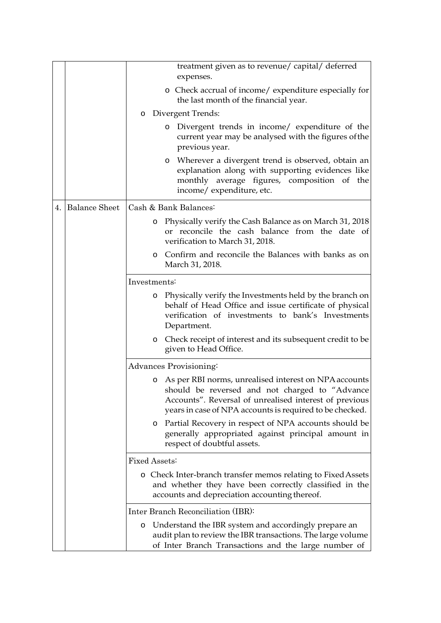|                  | treatment given as to revenue/ capital/ deferred                                                                                                                                                                                   |  |
|------------------|------------------------------------------------------------------------------------------------------------------------------------------------------------------------------------------------------------------------------------|--|
|                  | expenses.                                                                                                                                                                                                                          |  |
|                  | • Check accrual of income/ expenditure especially for<br>the last month of the financial year.                                                                                                                                     |  |
|                  | o Divergent Trends:                                                                                                                                                                                                                |  |
|                  | Divergent trends in income/ expenditure of the<br>$\circ$<br>current year may be analysed with the figures of the<br>previous year.                                                                                                |  |
|                  | Wherever a divergent trend is observed, obtain an<br>$\circ$<br>explanation along with supporting evidences like<br>monthly average figures, composition of the<br>income/ expenditure, etc.                                       |  |
| 4. Balance Sheet | Cash & Bank Balances:                                                                                                                                                                                                              |  |
|                  | Physically verify the Cash Balance as on March 31, 2018<br>O<br>or reconcile the cash balance from the date of<br>verification to March 31, 2018.                                                                                  |  |
|                  | Confirm and reconcile the Balances with banks as on<br>$\circ$<br>March 31, 2018.                                                                                                                                                  |  |
|                  | Investments:                                                                                                                                                                                                                       |  |
|                  | Physically verify the Investments held by the branch on<br>$\circ$<br>behalf of Head Office and issue certificate of physical<br>verification of investments to bank's Investments<br>Department.                                  |  |
|                  | Check receipt of interest and its subsequent credit to be<br>$\circ$<br>given to Head Office.                                                                                                                                      |  |
|                  | Advances Provisioning:                                                                                                                                                                                                             |  |
|                  | As per RBI norms, unrealised interest on NPA accounts<br>O<br>should be reversed and not charged to "Advance<br>Accounts". Reversal of unrealised interest of previous<br>years in case of NPA accounts is required to be checked. |  |
|                  | Partial Recovery in respect of NPA accounts should be<br>$\circ$<br>generally appropriated against principal amount in<br>respect of doubtful assets.                                                                              |  |
|                  | Fixed Assets:                                                                                                                                                                                                                      |  |
|                  | o Check Inter-branch transfer memos relating to Fixed Assets<br>and whether they have been correctly classified in the<br>accounts and depreciation accounting thereof.                                                            |  |
|                  | Inter Branch Reconciliation (IBR):                                                                                                                                                                                                 |  |
|                  | Understand the IBR system and accordingly prepare an<br>$\circ$<br>audit plan to review the IBR transactions. The large volume<br>of Inter Branch Transactions and the large number of                                             |  |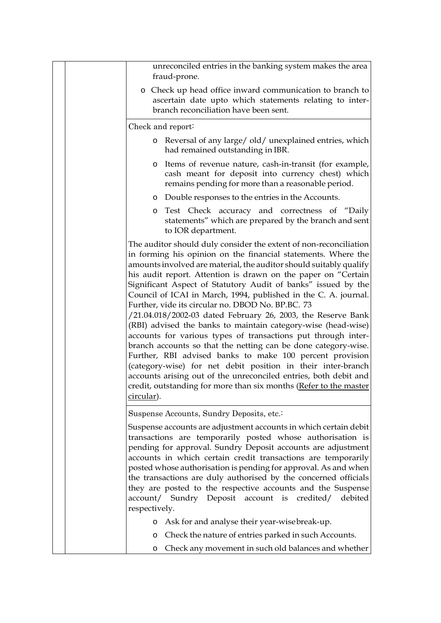| unreconciled entries in the banking system makes the area<br>fraud-prone.                                                                                                                                                                                                                                                                                                                                                                                                                                                                                                                                                                                                                                                                                                                                                                                                                                                                                                                                                 |
|---------------------------------------------------------------------------------------------------------------------------------------------------------------------------------------------------------------------------------------------------------------------------------------------------------------------------------------------------------------------------------------------------------------------------------------------------------------------------------------------------------------------------------------------------------------------------------------------------------------------------------------------------------------------------------------------------------------------------------------------------------------------------------------------------------------------------------------------------------------------------------------------------------------------------------------------------------------------------------------------------------------------------|
| o Check up head office inward communication to branch to<br>ascertain date upto which statements relating to inter-<br>branch reconciliation have been sent.                                                                                                                                                                                                                                                                                                                                                                                                                                                                                                                                                                                                                                                                                                                                                                                                                                                              |
| Check and report:                                                                                                                                                                                                                                                                                                                                                                                                                                                                                                                                                                                                                                                                                                                                                                                                                                                                                                                                                                                                         |
| o Reversal of any large/old/unexplained entries, which<br>had remained outstanding in IBR.                                                                                                                                                                                                                                                                                                                                                                                                                                                                                                                                                                                                                                                                                                                                                                                                                                                                                                                                |
| Items of revenue nature, cash-in-transit (for example,<br>$\circ$<br>cash meant for deposit into currency chest) which<br>remains pending for more than a reasonable period.                                                                                                                                                                                                                                                                                                                                                                                                                                                                                                                                                                                                                                                                                                                                                                                                                                              |
| • Double responses to the entries in the Accounts.                                                                                                                                                                                                                                                                                                                                                                                                                                                                                                                                                                                                                                                                                                                                                                                                                                                                                                                                                                        |
| o Test Check accuracy and correctness of "Daily<br>statements" which are prepared by the branch and sent<br>to IOR department.                                                                                                                                                                                                                                                                                                                                                                                                                                                                                                                                                                                                                                                                                                                                                                                                                                                                                            |
| The auditor should duly consider the extent of non-reconciliation<br>in forming his opinion on the financial statements. Where the<br>amounts involved are material, the auditor should suitably qualify<br>his audit report. Attention is drawn on the paper on "Certain<br>Significant Aspect of Statutory Audit of banks" issued by the<br>Council of ICAI in March, 1994, published in the C. A. journal.<br>Further, vide its circular no. DBOD No. BP.BC. 73<br>/21.04.018/2002-03 dated February 26, 2003, the Reserve Bank<br>(RBI) advised the banks to maintain category-wise (head-wise)<br>accounts for various types of transactions put through inter-<br>branch accounts so that the netting can be done category-wise.<br>Further, RBI advised banks to make 100 percent provision<br>(category-wise) for net debit position in their inter-branch<br>accounts arising out of the unreconciled entries, both debit and<br>credit, outstanding for more than six months (Refer to the master<br>circular). |
| Suspense Accounts, Sundry Deposits, etc.                                                                                                                                                                                                                                                                                                                                                                                                                                                                                                                                                                                                                                                                                                                                                                                                                                                                                                                                                                                  |
| Suspense accounts are adjustment accounts in which certain debit<br>transactions are temporarily posted whose authorisation is<br>pending for approval. Sundry Deposit accounts are adjustment<br>accounts in which certain credit transactions are temporarily<br>posted whose authorisation is pending for approval. As and when<br>the transactions are duly authorised by the concerned officials<br>they are posted to the respective accounts and the Suspense<br>account/ Sundry Deposit account is credited/<br>debited<br>respectively.                                                                                                                                                                                                                                                                                                                                                                                                                                                                          |
| Ask for and analyse their year-wise break-up.<br>$\circ$                                                                                                                                                                                                                                                                                                                                                                                                                                                                                                                                                                                                                                                                                                                                                                                                                                                                                                                                                                  |
| Check the nature of entries parked in such Accounts.<br>$\circ$                                                                                                                                                                                                                                                                                                                                                                                                                                                                                                                                                                                                                                                                                                                                                                                                                                                                                                                                                           |
| Check any movement in such old balances and whether<br>$\circ$                                                                                                                                                                                                                                                                                                                                                                                                                                                                                                                                                                                                                                                                                                                                                                                                                                                                                                                                                            |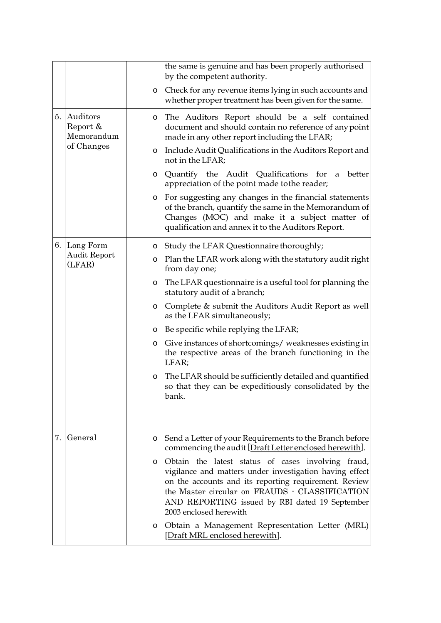|    |                                                     |   | the same is genuine and has been properly authorised<br>by the competent authority.                                                                                                                                                                                                                  |
|----|-----------------------------------------------------|---|------------------------------------------------------------------------------------------------------------------------------------------------------------------------------------------------------------------------------------------------------------------------------------------------------|
|    |                                                     | O | Check for any revenue items lying in such accounts and<br>whether proper treatment has been given for the same.                                                                                                                                                                                      |
|    | 5. Auditors<br>Report &<br>Memorandum<br>of Changes | O | The Auditors Report should be a self contained<br>document and should contain no reference of any point<br>made in any other report including the LFAR;                                                                                                                                              |
|    |                                                     | O | Include Audit Qualifications in the Auditors Report and<br>not in the LFAR;                                                                                                                                                                                                                          |
|    |                                                     | O | Quantify the Audit Qualifications for a<br>better<br>appreciation of the point made to the reader;                                                                                                                                                                                                   |
|    |                                                     | O | For suggesting any changes in the financial statements<br>of the branch, quantify the same in the Memorandum of<br>Changes (MOC) and make it a subject matter of<br>qualification and annex it to the Auditors Report.                                                                               |
|    | 6. Long Form                                        | O | Study the LFAR Questionnaire thoroughly;                                                                                                                                                                                                                                                             |
|    | Audit Report<br>(LFAR)                              | O | Plan the LFAR work along with the statutory audit right<br>from day one;                                                                                                                                                                                                                             |
|    |                                                     | O | The LFAR questionnaire is a useful tool for planning the<br>statutory audit of a branch;                                                                                                                                                                                                             |
|    |                                                     | O | Complete & submit the Auditors Audit Report as well<br>as the LFAR simultaneously;                                                                                                                                                                                                                   |
|    |                                                     | O | Be specific while replying the LFAR;                                                                                                                                                                                                                                                                 |
|    |                                                     | O | Give instances of shortcomings/ weaknesses existing in<br>the respective areas of the branch functioning in the<br>LFAR;                                                                                                                                                                             |
|    |                                                     | O | The LFAR should be sufficiently detailed and quantified<br>so that they can be expeditiously consolidated by the<br>bank.                                                                                                                                                                            |
|    |                                                     |   |                                                                                                                                                                                                                                                                                                      |
| 7. | General                                             | O | Send a Letter of your Requirements to the Branch before<br>commencing the audit [Draft Letter enclosed herewith].                                                                                                                                                                                    |
|    |                                                     | O | Obtain the latest status of cases involving fraud,<br>vigilance and matters under investigation having effect<br>on the accounts and its reporting requirement. Review<br>the Master circular on FRAUDS · CLASSIFICATION<br>AND REPORTING issued by RBI dated 19 September<br>2003 enclosed herewith |
|    |                                                     | O | Obtain a Management Representation Letter (MRL)<br>[Draft MRL enclosed herewith].                                                                                                                                                                                                                    |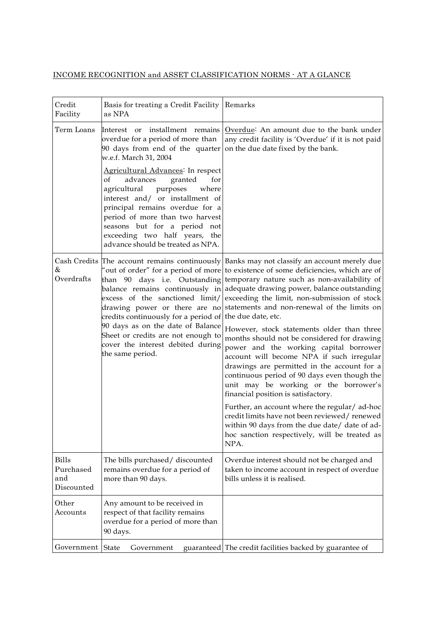## INCOME RECOGNITION and ASSET CLASSIFICATION NORMS - AT A GLANCE

| Credit<br>Facility                             | Basis for treating a Credit Facility<br>as NPA                                                                                                                                                                                                                                       | Remarks                                                                                                                                                                                                                                                                                                                                                                                                                                                                       |
|------------------------------------------------|--------------------------------------------------------------------------------------------------------------------------------------------------------------------------------------------------------------------------------------------------------------------------------------|-------------------------------------------------------------------------------------------------------------------------------------------------------------------------------------------------------------------------------------------------------------------------------------------------------------------------------------------------------------------------------------------------------------------------------------------------------------------------------|
| Term Loans                                     | Interest or installment remains<br>overdue for a period of more than<br>90 days from end of the quarter<br>w.e.f. March 31, 2004<br>Agricultural Advances <sup>:</sup> In respect                                                                                                    | Overdue <sup>:</sup> An amount due to the bank under<br>any credit facility is 'Overdue' if it is not paid<br>on the due date fixed by the bank.                                                                                                                                                                                                                                                                                                                              |
|                                                | advances<br>granted<br>for<br>of<br>agricultural<br>purposes<br>where<br>interest and/ or installment of<br>principal remains overdue for a<br>period of more than two harvest<br>seasons but for a period not<br>exceeding two half years, the<br>advance should be treated as NPA. |                                                                                                                                                                                                                                                                                                                                                                                                                                                                               |
| &<br>Overdrafts                                | drawing power or there are no<br>credits continuously for a period of the due date, etc.                                                                                                                                                                                             | Cash Credits The account remains continuously Banks may not classify an account merely due<br>"out of order" for a period of more to existence of some deficiencies, which are of<br>than 90 days i.e. Outstanding temporary nature such as non-availability of<br>balance remains continuously in adequate drawing power, balance outstanding<br>excess of the sanctioned limit/ exceeding the limit, non-submission of stock<br>statements and non-renewal of the limits on |
|                                                | 90 days as on the date of Balance<br>Sheet or credits are not enough to<br>cover the interest debited during<br>the same period.                                                                                                                                                     | However, stock statements older than three<br>months should not be considered for drawing<br>power and the working capital borrower<br>account will become NPA if such irregular<br>drawings are permitted in the account for a<br>continuous period of 90 days even though the<br>unit may be working or the borrower's<br>financial position is satisfactory.                                                                                                               |
|                                                |                                                                                                                                                                                                                                                                                      | Further, an account where the regular/ ad-hoc<br>credit limits have not been reviewed/renewed<br>within 90 days from the due date/ date of ad-<br>hoc sanction respectively, will be treated as<br>NPA.                                                                                                                                                                                                                                                                       |
| <b>Bills</b><br>Purchased<br>and<br>Discounted | The bills purchased/ discounted<br>remains overdue for a period of<br>more than 90 days.                                                                                                                                                                                             | Overdue interest should not be charged and<br>taken to income account in respect of overdue<br>bills unless it is realised.                                                                                                                                                                                                                                                                                                                                                   |
| Other<br>Accounts                              | Any amount to be received in<br>respect of that facility remains<br>overdue for a period of more than<br>90 days.                                                                                                                                                                    |                                                                                                                                                                                                                                                                                                                                                                                                                                                                               |
| Government State                               | Government                                                                                                                                                                                                                                                                           | guaranteed The credit facilities backed by guarantee of                                                                                                                                                                                                                                                                                                                                                                                                                       |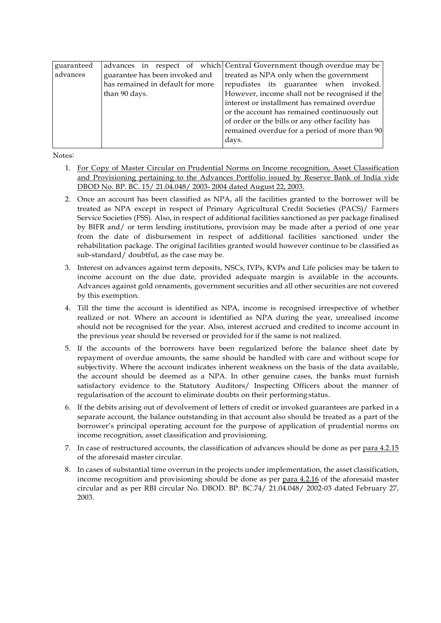| guaranteed |                                  | advances in respect of which Central Government though overdue may be |
|------------|----------------------------------|-----------------------------------------------------------------------|
| advances   | guarantee has been invoked and   | treated as NPA only when the government                               |
|            | has remained in default for more | repudiates its guarantee when invoked.                                |
|            | than 90 days.                    | However, income shall not be recognised if the                        |
|            |                                  | interest or installment has remained overdue                          |
|            |                                  | or the account has remained continuously out                          |
|            |                                  | of order or the bills or any other facility has                       |
|            |                                  | remained overdue for a period of more than 90                         |
|            |                                  | days.                                                                 |
|            |                                  |                                                                       |

Notes:

- 1. For Copy of Master Circular on Prudential Norms on Income recognition, Asset Classification and Provisioning pertaining to the Advances Portfolio issued by Reserve Bank of India vide DBOD No. BP. BC. 15/ 21.04.048/ 2003- 2004 dated August 22, 2003.
- 2. Once an account has been classified as NPA, all the facilities granted to the borrower will be treated as NPA except in respect of Primary Agricultural Credit Societies (PACS)/ Farmers Service Societies (FSS). Also, in respect of additional facilities sanctioned as per package finalised by BIFR and/ or term lending institutions, provision may be made after a period of one year from the date of disbursement in respect of additional facilities sanctioned under the rehabilitation package. The original facilities granted would however continue to be classified as sub-standard/ doubtful, as the case may be.
- 3. Interest on advances against term deposits, NSCs, IVPs, KVPs and Life policies may be taken to income account on the due date, provided adequate margin is available in the accounts. Advances against gold ornaments, government securities and all other securities are not covered by this exemption.
- 4. Till the time the account is identified as NPA, income is recognised irrespective of whether realized or not. Where an account is identified as NPA during the year, unrealised income should not be recognised for the year. Also, interest accrued and credited to income account in the previous year should be reversed or provided for if the same is not realized.
- 5. If the accounts of the borrowers have been regularized before the balance sheet date by repayment of overdue amounts, the same should be handled with care and without scope for subjectivity. Where the account indicates inherent weakness on the basis of the data available, the account should be deemed as a NPA. In other genuine cases, the banks must furnish satisfactory evidence to the Statutory Auditors/ Inspecting Officers about the manner of regularisation of the account to eliminate doubts on their performing status.
- 6. If the debits arising out of devolvement of letters of credit or invoked guarantees are parked in a separate account, the balance outstanding in that account also should be treated as a part of the borrower's principal operating account for the purpose of application of prudential norms on income recognition, asset classification and provisioning.
- 7. In case of restructured accounts, the classification of advances should be done as per para 4.2.15 of the aforesaid master circular.
- 8. In cases of substantial time overrun in the projects under implementation, the asset classification, income recognition and provisioning should be done as per para 4.2.16 of the aforesaid master circular and as per RBI circular No. DBOD. BP. BC.74/ 21.04.048/ 2002-03 dated February 27, 2003.